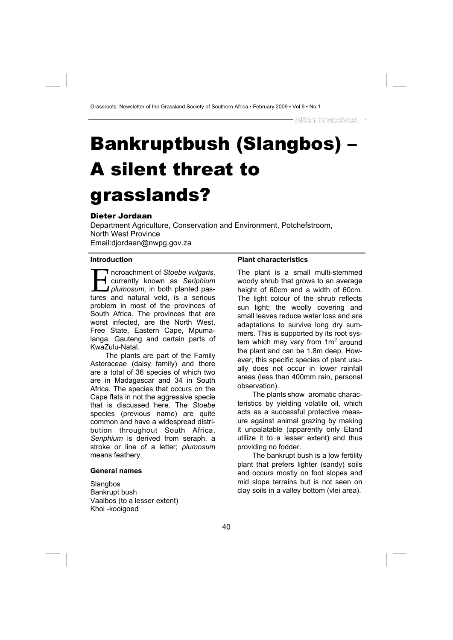# Bankruptbush (Slangbos) – A silent threat to grasslands?

# Dieter Jordaan

Department Agriculture, Conservation and Environment, Potchefstroom, North West Province Email:djordaan@nwpg.gov.za

#### **Introduction**

I ncroachment of *Stoebe vulgaris*,<br>currently known as *Seriphium*<br>plumosum, in both planted pas-<br>tures and natural veld is a serious currently known as *Seriphium <i>plumosum* in both planted pastures and natural veld, is a serious problem in most of the provinces of South Africa. The provinces that are worst infected, are the North West, Free State, Eastern Cape, Mpumalanga, Gauteng and certain parts of KwaZulu-Natal.

The plants are part of the Family Asteraceae (daisy family) and there are a total of 36 species of which two are in Madagascar and 34 in South Africa. The species that occurs on the Cape flats in not the aggressive specie that is discussed here. The *Stoebe* species (previous name) are quite common and have a widespread distribution throughout South Africa. *Seriphium* is derived from seraph, a stroke or line of a letter; *plumosum* means feathery.

#### **General names**

**Slangbos** Bankrupt bush Vaalbos (to a lesser extent) Khoi -kooigoed

#### **Plant characteristics**

The plant is a small multi-stemmed woody shrub that grows to an average height of 60cm and a width of 60cm. The light colour of the shrub reflects sun light; the woolly covering and small leaves reduce water loss and are adaptations to survive long dry summers. This is supported by its root system which may vary from  $1m^2$  around the plant and can be 1.8m deep. However, this specific species of plant usually does not occur in lower rainfall areas (less than 400mm rain, personal observation).

The plants show aromatic characteristics by yielding volatile oil, which acts as a successful protective measure against animal grazing by making it unpalatable (apparently only Eland utilize it to a lesser extent) and thus providing no fodder.

The bankrupt bush is a low fertility plant that prefers lighter (sandy) soils and occurs mostly on foot slopes and mid slope terrains but is not seen on clay soils in a valley bottom (vlei area).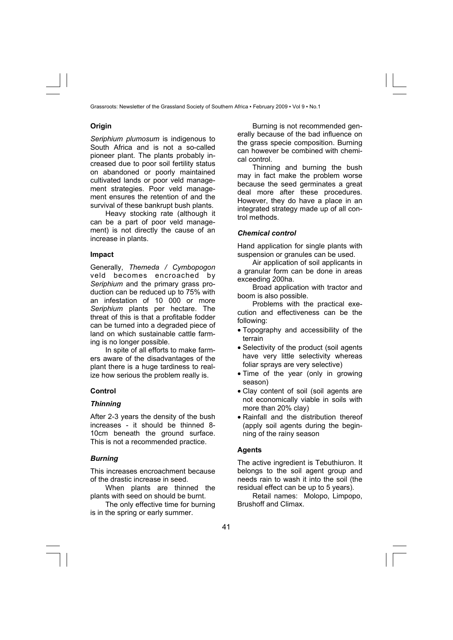## **Origin**

*Seriphium plumosum* is indigenous to South Africa and is not a so-called pioneer plant. The plants probably increased due to poor soil fertility status on abandoned or poorly maintained cultivated lands or poor veld management strategies. Poor veld management ensures the retention of and the survival of these bankrupt bush plants.

Heavy stocking rate (although it can be a part of poor veld management) is not directly the cause of an increase in plants.

#### **Impact**

Generally, *Themeda / Cymbopogon* veld becomes encroached by *Seriphium* and the primary grass production can be reduced up to 75% with an infestation of 10 000 or more *Seriphium* plants per hectare. The threat of this is that a profitable fodder can be turned into a degraded piece of land on which sustainable cattle farming is no longer possible.

In spite of all efforts to make farmers aware of the disadvantages of the plant there is a huge tardiness to realize how serious the problem really is.

# **Control**

## *Thinning*

After 2-3 years the density of the bush increases - it should be thinned 8- 10cm beneath the ground surface. This is not a recommended practice.

# *Burning*

This increases encroachment because of the drastic increase in seed.

When plants are thinned the plants with seed on should be burnt.

The only effective time for burning is in the spring or early summer.

Burning is not recommended generally because of the bad influence on the grass specie composition. Burning can however be combined with chemical control.

Thinning and burning the bush may in fact make the problem worse because the seed germinates a great deal more after these procedures. However, they do have a place in an integrated strategy made up of all control methods.

## *Chemical control*

Hand application for single plants with suspension or granules can be used.

Air application of soil applicants in a granular form can be done in areas exceeding 200ha.

Broad application with tractor and boom is also possible.

Problems with the practical execution and effectiveness can be the following:

- Topography and accessibility of the terrain
- Selectivity of the product (soil agents have very little selectivity whereas foliar sprays are very selective)
- Time of the year (only in growing season)
- Clay content of soil (soil agents are not economically viable in soils with more than 20% clay)
- Rainfall and the distribution thereof (apply soil agents during the beginning of the rainy season

## **Agents**

The active ingredient is Tebuthiuron. It belongs to the soil agent group and needs rain to wash it into the soil (the residual effect can be up to 5 years).

Retail names: Molopo, Limpopo, Brushoff and Climax.